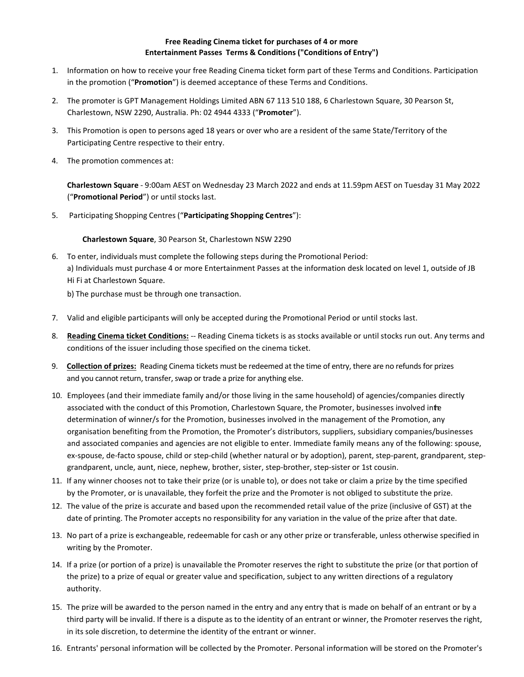## **Free Reading Cinema ticket for purchases of 4 or more Entertainment Passes Terms & Conditions ("Conditions of Entry")**

- 1. Information on how to receive your free Reading Cinema ticket form part of these Terms and Conditions. Participation in the promotion ("**Promotion**") is deemed acceptance of these Terms and Conditions.
- 2. The promoter is GPT Management Holdings Limited ABN 67 113 510 188, 6 Charlestown Square, 30 Pearson St, Charlestown, NSW 2290, Australia. Ph: [02 4944 4333](tel:02%204944%204333) ("**Promoter**").
- 3. This Promotion is open to persons aged 18 years or over who are a resident of the same State/Territory of the Participating Centre respective to their entry.
- 4. The promotion commences at:

**Charlestown Square** - 9:00am AEST on Wednesday 23 March 2022 and ends at 11.59pm AEST on Tuesday 31 May 2022 ("**Promotional Period**") or until stocks last.

5. Participating Shopping Centres ("**Participating Shopping Centres**"):

## **Charlestown Square**, 30 Pearson St, Charlestown NSW 2290

- 6. To enter, individuals must complete the following steps during the Promotional Period: a) Individuals must purchase 4 or more Entertainment Passes at the information desk located on level 1, outside of JB Hi Fi at Charlestown Square.
	- b) The purchase must be through one transaction.
- 7. Valid and eligible participants will only be accepted during the Promotional Period or until stocks last.
- 8. **Reading Cinema ticket Conditions:** -- Reading Cinema tickets is as stocks available or until stocks run out. Any terms and conditions of the issuer including those specified on the cinema ticket.
- 9. **Collection of prizes:** Reading Cinema tickets must be redeemed at the time of entry, there are no refunds for prizes and you cannot return, transfer, swap or trade a prize for anything else.
- 10. Employees (and their immediate family and/or those living in the same household) of agencies/companies directly associated with the conduct of this Promotion, Charlestown Square, the Promoter, businesses involved inte determination of winner/s for the Promotion, businesses involved in the management of the Promotion, any organisation benefiting from the Promotion, the Promoter's distributors, suppliers, subsidiary companies/businesses and associated companies and agencies are not eligible to enter. Immediate family means any of the following: spouse, ex-spouse, de-facto spouse, child or step-child (whether natural or by adoption), parent, step-parent, grandparent, stepgrandparent, uncle, aunt, niece, nephew, brother, sister, step-brother, step-sister or 1st cousin.
- 11. If any winner chooses not to take their prize (or is unable to), or does not take or claim a prize by the time specified by the Promoter, or is unavailable, they forfeit the prize and the Promoter is not obliged to substitute the prize.
- 12. The value of the prize is accurate and based upon the recommended retail value of the prize (inclusive of GST) at the date of printing. The Promoter accepts no responsibility for any variation in the value of the prize after that date.
- 13. No part of a prize is exchangeable, redeemable for cash or any other prize or transferable, unless otherwise specified in writing by the Promoter.
- 14. If a prize (or portion of a prize) is unavailable the Promoter reserves the right to substitute the prize (or that portion of the prize) to a prize of equal or greater value and specification, subject to any written directions of a regulatory authority.
- 15. The prize will be awarded to the person named in the entry and any entry that is made on behalf of an entrant or by a third party will be invalid. If there is a dispute as to the identity of an entrant or winner, the Promoter reserves the right, in its sole discretion, to determine the identity of the entrant or winner.
- 16. Entrants' personal information will be collected by the Promoter. Personal information will be stored on the Promoter's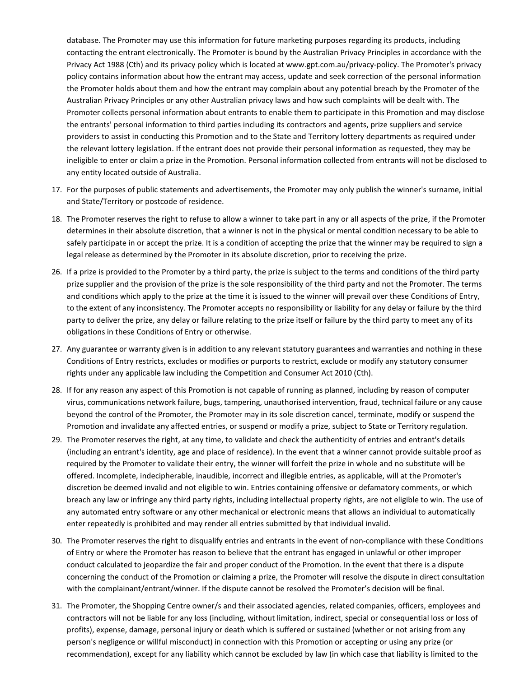database. The Promoter may use this information for future marketing purposes regarding its products, including contacting the entrant electronically. The Promoter is bound by the Australian Privacy Principles in accordance with the Privacy Act 1988 (Cth) and its privacy policy which is located a[t www.gpt.com.au/privacy-policy. T](http://www.gpt.com.au/privacy-policy)he Promoter's privacy policy contains information about how the entrant may access, update and seek correction of the personal information the Promoter holds about them and how the entrant may complain about any potential breach by the Promoter of the Australian Privacy Principles or any other Australian privacy laws and how such complaints will be dealt with. The Promoter collects personal information about entrants to enable them to participate in this Promotion and may disclose the entrants' personal information to third parties including its contractors and agents, prize suppliers and service providers to assist in conducting this Promotion and to the State and Territory lottery departments as required under the relevant lottery legislation. If the entrant does not provide their personal information as requested, they may be ineligible to enter or claim a prize in the Promotion. Personal information collected from entrants will not be disclosed to any entity located outside of Australia.

- 17. For the purposes of public statements and advertisements, the Promoter may only publish the winner's surname, initial and State/Territory or postcode of residence.
- 18. The Promoter reserves the right to refuse to allow a winner to take part in any or all aspects of the prize, if the Promoter determines in their absolute discretion, that a winner is not in the physical or mental condition necessary to be able to safely participate in or accept the prize. It is a condition of accepting the prize that the winner may be required to sign a legal release as determined by the Promoter in its absolute discretion, prior to receiving the prize.
- 26. If a prize is provided to the Promoter by a third party, the prize is subject to the terms and conditions of the third party prize supplier and the provision of the prize is the sole responsibility of the third party and not the Promoter. The terms and conditions which apply to the prize at the time it is issued to the winner will prevail over these Conditions of Entry, to the extent of any inconsistency. The Promoter accepts no responsibility or liability for any delay or failure by the third party to deliver the prize, any delay or failure relating to the prize itself or failure by the third party to meet any of its obligations in these Conditions of Entry or otherwise.
- 27. Any guarantee or warranty given is in addition to any relevant statutory guarantees and warranties and nothing in these Conditions of Entry restricts, excludes or modifies or purports to restrict, exclude or modify any statutory consumer rights under any applicable law including the Competition and Consumer Act 2010 (Cth).
- 28. If for any reason any aspect of this Promotion is not capable of running as planned, including by reason of computer virus, communications network failure, bugs, tampering, unauthorised intervention, fraud, technical failure or any cause beyond the control of the Promoter, the Promoter may in its sole discretion cancel, terminate, modify or suspend the Promotion and invalidate any affected entries, or suspend or modify a prize, subject to State or Territory regulation.
- 29. The Promoter reserves the right, at any time, to validate and check the authenticity of entries and entrant's details (including an entrant's identity, age and place of residence). In the event that a winner cannot provide suitable proof as required by the Promoter to validate their entry, the winner will forfeit the prize in whole and no substitute will be offered. Incomplete, indecipherable, inaudible, incorrect and illegible entries, as applicable, will at the Promoter's discretion be deemed invalid and not eligible to win. Entries containing offensive or defamatory comments, or which breach any law or infringe any third party rights, including intellectual property rights, are not eligible to win. The use of any automated entry software or any other mechanical or electronic means that allows an individual to automatically enter repeatedly is prohibited and may render all entries submitted by that individual invalid.
- 30. The Promoter reserves the right to disqualify entries and entrants in the event of non-compliance with these Conditions of Entry or where the Promoter has reason to believe that the entrant has engaged in unlawful or other improper conduct calculated to jeopardize the fair and proper conduct of the Promotion. In the event that there is a dispute concerning the conduct of the Promotion or claiming a prize, the Promoter will resolve the dispute in direct consultation with the complainant/entrant/winner. If the dispute cannot be resolved the Promoter's decision will be final.
- 31. The Promoter, the Shopping Centre owner/s and their associated agencies, related companies, officers, employees and contractors will not be liable for any loss (including, without limitation, indirect, special or consequential loss or loss of profits), expense, damage, personal injury or death which is suffered or sustained (whether or not arising from any person's negligence or willful misconduct) in connection with this Promotion or accepting or using any prize (or recommendation), except for any liability which cannot be excluded by law (in which case that liability is limited to the